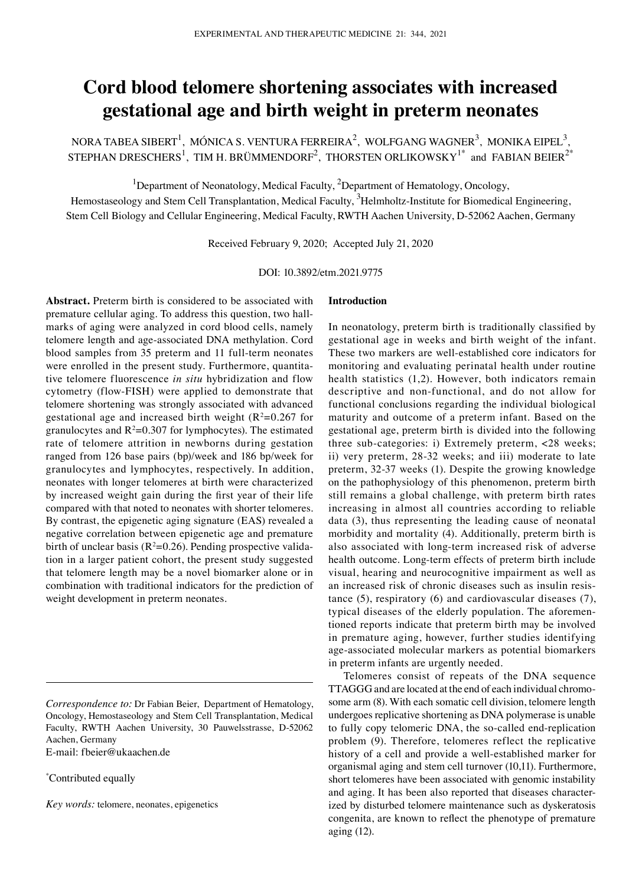# **Cord blood telomere shortening associates with increased gestational age and birth weight in preterm neonates**

NORA TABEA SIBERT<sup>1</sup>, MÓNICA S. VENTURA FERREIRA<sup>2</sup>, WOLFGANG WAGNER<sup>3</sup>, MONIKA EIPEL<sup>3</sup>, STEPHAN DRESCHERS $^1$ , TIM H. BRÜMMENDORF $^2$ , THORSTEN ORLIKOWSKY $^{1^\ast}$  and FABIAN BEIER $^{2^\ast}$ 

<sup>1</sup>Department of Neonatology, Medical Faculty, <sup>2</sup>Department of Hematology, Oncology,

Hemostaseology and Stem Cell Transplantation, Medical Faculty, <sup>3</sup>Helmholtz-Institute for Biomedical Engineering, Stem Cell Biology and Cellular Engineering, Medical Faculty, RWTH Aachen University, D-52062 Aachen, Germany

Received February 9, 2020; Accepted July 21, 2020

DOI: 10.3892/etm.2021.9775

**Abstract.** Preterm birth is considered to be associated with premature cellular aging. To address this question, two hallmarks of aging were analyzed in cord blood cells, namely telomere length and age‑associated DNA methylation. Cord blood samples from 35 preterm and 11 full-term neonates were enrolled in the present study. Furthermore, quantitative telomere fluorescence *in situ* hybridization and flow cytometry (flow‑FISH) were applied to demonstrate that telomere shortening was strongly associated with advanced gestational age and increased birth weight  $(R^2=0.267$  for granulocytes and  $R^2=0.307$  for lymphocytes). The estimated rate of telomere attrition in newborns during gestation ranged from 126 base pairs (bp)/week and 186 bp/week for granulocytes and lymphocytes, respectively. In addition, neonates with longer telomeres at birth were characterized by increased weight gain during the first year of their life compared with that noted to neonates with shorter telomeres. By contrast, the epigenetic aging signature (EAS) revealed a negative correlation between epigenetic age and premature birth of unclear basis ( $R^2$ =0.26). Pending prospective validation in a larger patient cohort, the present study suggested that telomere length may be a novel biomarker alone or in combination with traditional indicators for the prediction of weight development in preterm neonates.

\* Contributed equally

*Key words:* telomere, neonates, epigenetics

#### **Introduction**

In neonatology, preterm birth is traditionally classified by gestational age in weeks and birth weight of the infant. These two markers are well‑established core indicators for monitoring and evaluating perinatal health under routine health statistics (1,2). However, both indicators remain descriptive and non-functional, and do not allow for functional conclusions regarding the individual biological maturity and outcome of a preterm infant. Based on the gestational age, preterm birth is divided into the following three sub‑categories: i) Extremely preterm, <28 weeks; ii) very preterm, 28‑32 weeks; and iii) moderate to late preterm, 32‑37 weeks (1). Despite the growing knowledge on the pathophysiology of this phenomenon, preterm birth still remains a global challenge, with preterm birth rates increasing in almost all countries according to reliable data (3), thus representing the leading cause of neonatal morbidity and mortality (4). Additionally, preterm birth is also associated with long‑term increased risk of adverse health outcome. Long‑term effects of preterm birth include visual, hearing and neurocognitive impairment as well as an increased risk of chronic diseases such as insulin resistance (5), respiratory (6) and cardiovascular diseases (7), typical diseases of the elderly population. The aforementioned reports indicate that preterm birth may be involved in premature aging, however, further studies identifying age‑associated molecular markers as potential biomarkers in preterm infants are urgently needed.

Telomeres consist of repeats of the DNA sequence TTAGGG and are located at the end of each individual chromosome arm (8). With each somatic cell division, telomere length undergoes replicative shortening as DNA polymerase is unable to fully copy telomeric DNA, the so-called end-replication problem (9). Therefore, telomeres reflect the replicative history of a cell and provide a well-established marker for organismal aging and stem cell turnover (10,11). Furthermore, short telomeres have been associated with genomic instability and aging. It has been also reported that diseases characterized by disturbed telomere maintenance such as dyskeratosis congenita, are known to reflect the phenotype of premature aging (12).

*Correspondence to:* Dr Fabian Beier, Department of Hematology, Oncology, Hemostaseology and Stem Cell Transplantation, Medical Faculty, RWTH Aachen University, 30 Pauwelsstrasse, D-52062 Aachen, Germany E‑mail: fbeier@ukaachen.de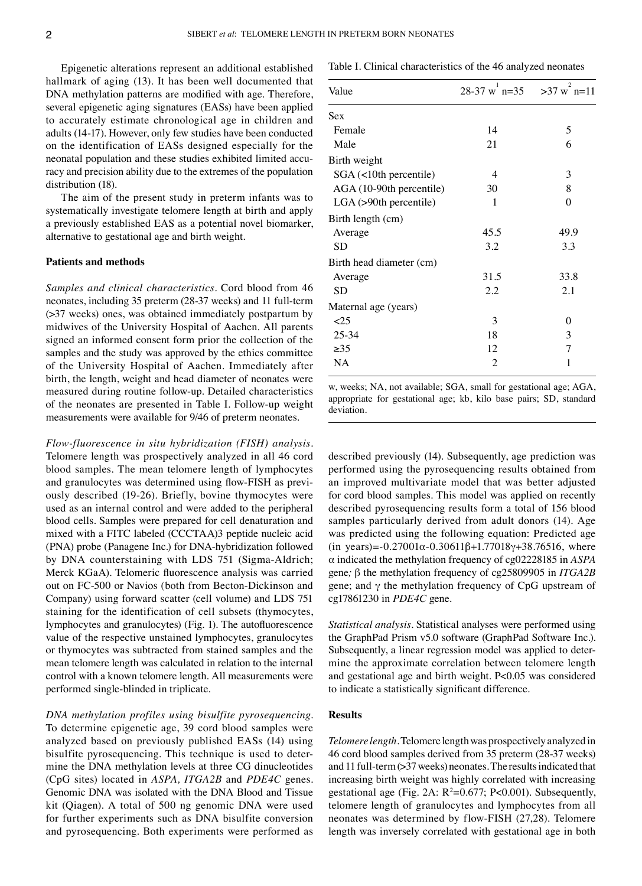Epigenetic alterations represent an additional established hallmark of aging (13). It has been well documented that DNA methylation patterns are modified with age. Therefore, several epigenetic aging signatures (EASs) have been applied to accurately estimate chronological age in children and adults (14‑17). However, only few studies have been conducted on the identification of EASs designed especially for the neonatal population and these studies exhibited limited accuracy and precision ability due to the extremes of the population distribution (18).

The aim of the present study in preterm infants was to systematically investigate telomere length at birth and apply a previously established EAS as a potential novel biomarker, alternative to gestational age and birth weight.

#### **Patients and methods**

*Samples and clinical characteristics.* Cord blood from 46 neonates, including 35 preterm (28-37 weeks) and 11 full-term (>37 weeks) ones, was obtained immediately postpartum by midwives of the University Hospital of Aachen. All parents signed an informed consent form prior the collection of the samples and the study was approved by the ethics committee of the University Hospital of Aachen. Immediately after birth, the length, weight and head diameter of neonates were measured during routine follow‑up. Detailed characteristics of the neonates are presented in Table I. Follow‑up weight measurements were available for 9/46 of preterm neonates.

*Flow‑fluorescence in situ hybridization (FISH) analysis.*  Telomere length was prospectively analyzed in all 46 cord blood samples. The mean telomere length of lymphocytes and granulocytes was determined using flow-FISH as previously described (19‑26). Briefly, bovine thymocytes were used as an internal control and were added to the peripheral blood cells. Samples were prepared for cell denaturation and mixed with a FITC labeled (CCCTAA)3 peptide nucleic acid (PNA) probe (Panagene Inc.) for DNA‑hybridization followed by DNA counterstaining with LDS 751 (Sigma-Aldrich; Merck KGaA). Telomeric fluorescence analysis was carried out on FC‑500 or Navios (both from Becton‑Dickinson and Company) using forward scatter (cell volume) and LDS 751 staining for the identification of cell subsets (thymocytes, lymphocytes and granulocytes) (Fig. 1). The autofluorescence value of the respective unstained lymphocytes, granulocytes or thymocytes was subtracted from stained samples and the mean telomere length was calculated in relation to the internal control with a known telomere length. All measurements were performed single‑blinded in triplicate.

*DNA methylation profiles using bisulfite pyrosequencing.*  To determine epigenetic age, 39 cord blood samples were analyzed based on previously published EASs (14) using bisulfite pyrosequencing. This technique is used to determine the DNA methylation levels at three CG dinucleotides (CpG sites) located in *ASPA, ITGA2B* and *PDE4C* genes. Genomic DNA was isolated with the DNA Blood and Tissue kit (Qiagen). A total of 500 ng genomic DNA were used for further experiments such as DNA bisulfite conversion and pyrosequencing. Both experiments were performed as

| Table I. Clinical characteristics of the 46 analyzed neonates |  |
|---------------------------------------------------------------|--|
|---------------------------------------------------------------|--|

| Value                    | $28-37$ w n=35 $>37$ w n=11 |          |
|--------------------------|-----------------------------|----------|
| Sex                      |                             |          |
| Female                   | 14                          | 5        |
| Male                     | 21                          | 6        |
| Birth weight             |                             |          |
| $SGA$ (<10th percentile) | 4                           | 3        |
| AGA (10-90th percentile) | 30                          | 8        |
| LGA (>90th percentile)   | 1                           | $\theta$ |
| Birth length (cm)        |                             |          |
| Average                  | 45.5                        | 49.9     |
| <b>SD</b>                | 3.2                         | 3.3      |
| Birth head diameter (cm) |                             |          |
| Average                  | 31.5                        | 33.8     |
| <b>SD</b>                | 2.2                         | 2.1      |
| Maternal age (years)     |                             |          |
| <25                      | 3                           | $\Omega$ |
| 25-34                    | 18                          | 3        |
| $\geq 35$                | 12                          | 7        |
| NA                       | 2                           | 1        |
|                          |                             |          |

w, weeks; NA, not available; SGA, small for gestational age; AGA, appropriate for gestational age; kb, kilo base pairs; SD, standard deviation.

described previously (14). Subsequently, age prediction was performed using the pyrosequencing results obtained from an improved multivariate model that was better adjusted for cord blood samples. This model was applied on recently described pyrosequencing results form a total of 156 blood samples particularly derived from adult donors (14). Age was predicted using the following equation: Predicted age (in years)= $-0.27001\alpha - 0.30611\beta + 1.77018\gamma + 38.76516$ , where α indicated the methylation frequency of cg02228185 in *ASPA*  gene*;* β the methylation frequency of cg25809905 in *ITGA2B*  gene; and γ the methylation frequency of CpG upstream of cg17861230 in *PDE4C* gene.

*Statistical analysis.* Statistical analyses were performed using the GraphPad Prism v5.0 software (GraphPad Software Inc.). Subsequently, a linear regression model was applied to determine the approximate correlation between telomere length and gestational age and birth weight. P<0.05 was considered to indicate a statistically significant difference.

#### **Results**

*Telomere length.* Telomere length was prospectively analyzed in 46 cord blood samples derived from 35 preterm (28‑37 weeks) and 11 full-term  $(>37$  weeks) neonates. The results indicated that increasing birth weight was highly correlated with increasing gestational age (Fig. 2A:  $R^2=0.677$ ; P<0.001). Subsequently, telomere length of granulocytes and lymphocytes from all neonates was determined by flow‑FISH (27,28). Telomere length was inversely correlated with gestational age in both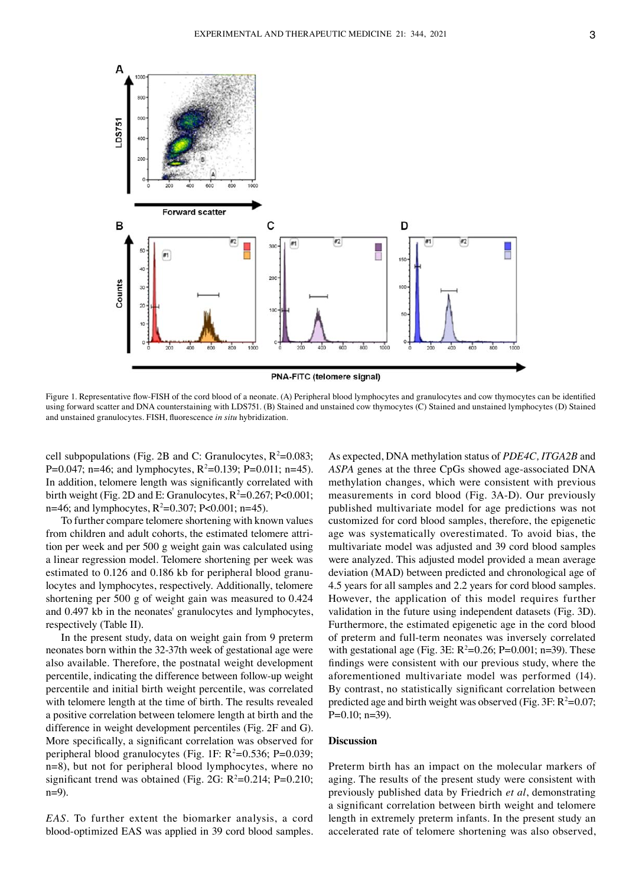



Figure 1. Representative flow-FISH of the cord blood of a neonate. (A) Peripheral blood lymphocytes and granulocytes and cow thymocytes can be identified using forward scatter and DNA counterstaining with LDS751. (B) Stained and unstained cow thymocytes (C) Stained and unstained lymphocytes (D) Stained and unstained granulocytes. FISH, fluorescence *in situ* hybridization.

cell subpopulations (Fig. 2B and C: Granulocytes,  $R^2=0.083$ ; P=0.047; n=46; and lymphocytes,  $R^2$ =0.139; P=0.011; n=45). In addition, telomere length was significantly correlated with birth weight (Fig. 2D and E: Granulocytes,  $R^2 = 0.267$ ; P<0.001; n=46; and lymphocytes, R<sup>2</sup>=0.307; P<0.001; n=45).

To further compare telomere shortening with known values from children and adult cohorts, the estimated telomere attrition per week and per 500 g weight gain was calculated using a linear regression model. Telomere shortening per week was estimated to 0.126 and 0.186 kb for peripheral blood granulocytes and lymphocytes, respectively. Additionally, telomere shortening per 500 g of weight gain was measured to 0.424 and 0.497 kb in the neonates' granulocytes and lymphocytes, respectively (Table II).

In the present study, data on weight gain from 9 preterm neonates born within the 32‑37th week of gestational age were also available. Therefore, the postnatal weight development percentile, indicating the difference between follow‑up weight percentile and initial birth weight percentile, was correlated with telomere length at the time of birth. The results revealed a positive correlation between telomere length at birth and the difference in weight development percentiles (Fig. 2F and G). More specifically, a significant correlation was observed for peripheral blood granulocytes (Fig. 1F:  $R^2=0.536$ ; P=0.039; n=8), but not for peripheral blood lymphocytes, where no significant trend was obtained (Fig. 2G:  $R^2=0.214$ ; P=0.210; n=9).

*EAS.* To further extent the biomarker analysis, a cord blood‑optimized EAS was applied in 39 cord blood samples. As expected, DNA methylation status of *PDE4C, ITGA2B* and *ASPA* genes at the three CpGs showed age‑associated DNA methylation changes, which were consistent with previous measurements in cord blood (Fig. 3A‑D)*.* Our previously published multivariate model for age predictions was not customized for cord blood samples, therefore, the epigenetic age was systematically overestimated. To avoid bias, the multivariate model was adjusted and 39 cord blood samples were analyzed. This adjusted model provided a mean average deviation (MAD) between predicted and chronological age of 4.5 years for all samples and 2.2 years for cord blood samples. However, the application of this model requires further validation in the future using independent datasets (Fig. 3D). Furthermore, the estimated epigenetic age in the cord blood of preterm and full‑term neonates was inversely correlated with gestational age (Fig. 3E:  $R^2=0.26$ ; P=0.001; n=39). These findings were consistent with our previous study, where the aforementioned multivariate model was performed (14). By contrast, no statistically significant correlation between predicted age and birth weight was observed (Fig.  $3F: R^2=0.07$ ; P=0.10; n=39).

#### **Discussion**

Preterm birth has an impact on the molecular markers of aging. The results of the present study were consistent with previously published data by Friedrich *et al*, demonstrating a significant correlation between birth weight and telomere length in extremely preterm infants. In the present study an accelerated rate of telomere shortening was also observed,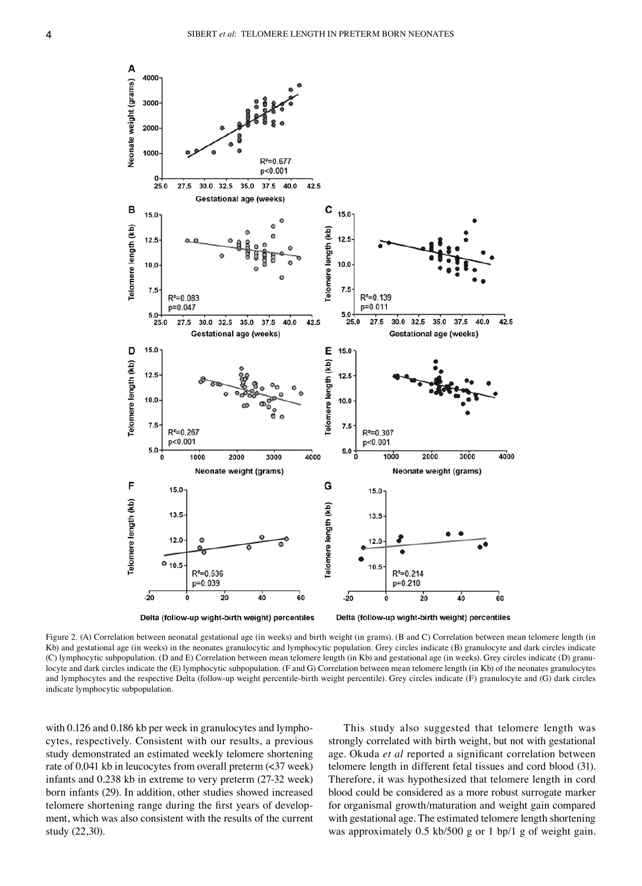

Figure 2. (A) Correlation between neonatal gestational age (in weeks) and birth weight (in grams). (B and C) Correlation between mean telomere length (in Kb) and gestational age (in weeks) in the neonates granulocytic and lymphocytic population. Grey circles indicate (B) granulocyte and dark circles indicate (C) lymphocytic subpopulation. (D and E) Correlation between mean telomere length (in Kb) and gestational age (in weeks). Grey circles indicate (D) granu‑ locyte and dark circles indicate the (E) lymphocytic subpopulation. (F and G) Correlation between mean telomere length (in Kb) of the neonates granulocytes and lymphocytes and the respective Delta (follow-up weight percentile-birth weight percentile). Grey circles indicate (F) granulocyte and (G) dark circles indicate lymphocytic subpopulation.

with 0.126 and 0.186 kb per week in granulocytes and lymphocytes, respectively. Consistent with our results, a previous study demonstrated an estimated weekly telomere shortening rate of 0.041 kb in leucocytes from overall preterm  $\left( \langle 37 \rangle \right)$  week) infants and 0.238 kb in extreme to very preterm (27‑32 week) born infants (29). In addition, other studies showed increased telomere shortening range during the first years of development, which was also consistent with the results of the current study (22,30).

This study also suggested that telomere length was strongly correlated with birth weight, but not with gestational age. Okuda *et al* reported a significant correlation between telomere length in different fetal tissues and cord blood (31). Therefore, it was hypothesized that telomere length in cord blood could be considered as a more robust surrogate marker for organismal growth/maturation and weight gain compared with gestational age. The estimated telomere length shortening was approximately 0.5 kb/500 g or 1 bp/1 g of weight gain.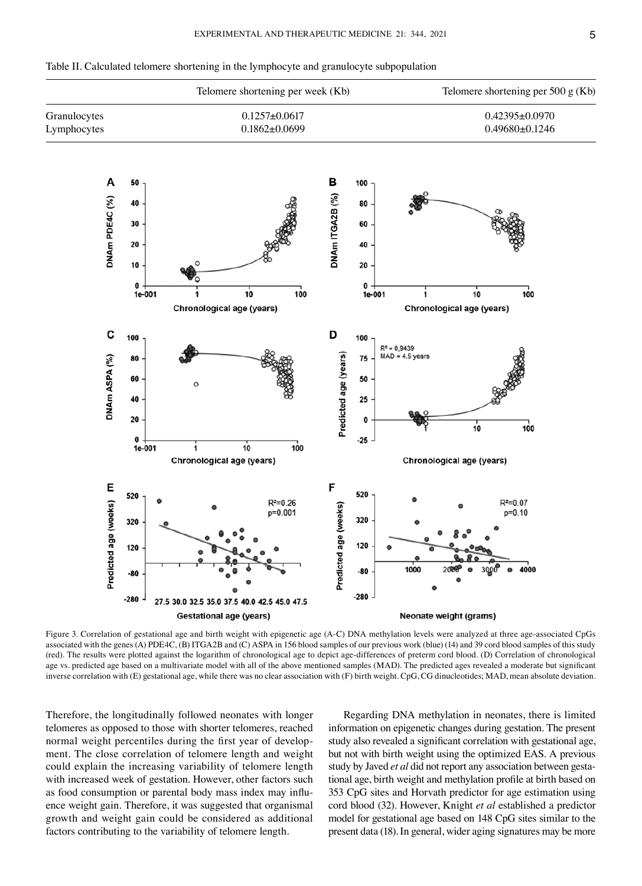

Table II. Calculated telomere shortening in the lymphocyte and granulocyte subpopulation

Figure 3. Correlation of gestational age and birth weight with epigenetic age (A-C) DNA methylation levels were analyzed at three age-associated CpGs associated with the genes (A) PDE4C, (B) ITGA2B and (C) ASPA in 156 blood samples of our previous work (blue) (14) and 39 cord blood samples of this study (red). The results were plotted against the logarithm of chronological age to depict age‑differences of preterm cord blood. (D) Correlation of chronological age vs. predicted age based on a multivariate model with all of the above mentioned samples (MAD). The predicted ages revealed a moderate but significant inverse correlation with (E) gestational age, while there was no clear association with (F) birth weight. CpG, CG dinucleotides; MAD, mean absolute deviation.

Therefore, the longitudinally followed neonates with longer telomeres as opposed to those with shorter telomeres, reached normal weight percentiles during the first year of development. The close correlation of telomere length and weight could explain the increasing variability of telomere length with increased week of gestation. However, other factors such as food consumption or parental body mass index may influence weight gain. Therefore, it was suggested that organismal growth and weight gain could be considered as additional factors contributing to the variability of telomere length.

Regarding DNA methylation in neonates, there is limited information on epigenetic changes during gestation. The present study also revealed a significant correlation with gestational age, but not with birth weight using the optimized EAS. A previous study by Javed *et al* did not report any association between gestational age, birth weight and methylation profile at birth based on 353 CpG sites and Horvath predictor for age estimation using cord blood (32). However, Knight *et al* established a predictor model for gestational age based on 148 CpG sites similar to the present data (18). In general, wider aging signatures may be more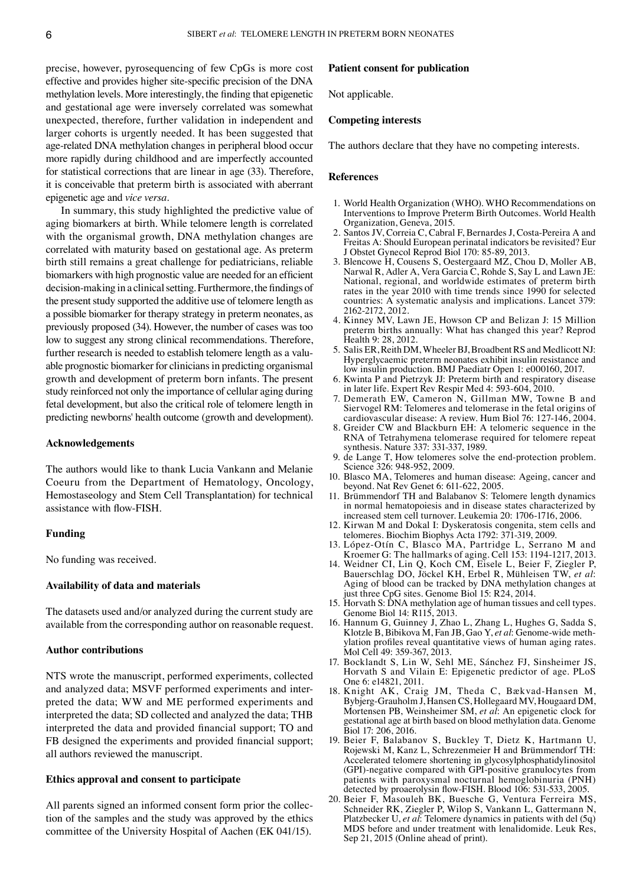precise, however, pyrosequencing of few CpGs is more cost effective and provides higher site‑specific precision of the DNA methylation levels. More interestingly, the finding that epigenetic and gestational age were inversely correlated was somewhat unexpected, therefore, further validation in independent and larger cohorts is urgently needed. It has been suggested that age‑related DNA methylation changes in peripheral blood occur more rapidly during childhood and are imperfectly accounted for statistical corrections that are linear in age (33). Therefore, it is conceivable that preterm birth is associated with aberrant epigenetic age and *vice versa*.

In summary, this study highlighted the predictive value of aging biomarkers at birth. While telomere length is correlated with the organismal growth, DNA methylation changes are correlated with maturity based on gestational age. As preterm birth still remains a great challenge for pediatricians, reliable biomarkers with high prognostic value are needed for an efficient decision‑making in a clinical setting. Furthermore, the findings of the present study supported the additive use of telomere length as a possible biomarker for therapy strategy in preterm neonates, as previously proposed (34). However, the number of cases was too low to suggest any strong clinical recommendations. Therefore, further research is needed to establish telomere length as a valuable prognostic biomarker for clinicians in predicting organismal growth and development of preterm born infants. The present study reinforced not only the importance of cellular aging during fetal development, but also the critical role of telomere length in predicting newborns' health outcome (growth and development).

#### **Acknowledgements**

The authors would like to thank Lucia Vankann and Melanie Coeuru from the Department of Hematology, Oncology, Hemostaseology and Stem Cell Transplantation) for technical assistance with flow‑FISH.

#### **Funding**

No funding was received.

#### **Availability of data and materials**

The datasets used and/or analyzed during the current study are available from the corresponding author on reasonable request.

## **Author contributions**

NTS wrote the manuscript, performed experiments, collected and analyzed data; MSVF performed experiments and interpreted the data; WW and ME performed experiments and interpreted the data; SD collected and analyzed the data; THB interpreted the data and provided financial support; TO and FB designed the experiments and provided financial support; all authors reviewed the manuscript.

### **Ethics approval and consent to participate**

All parents signed an informed consent form prior the collection of the samples and the study was approved by the ethics committee of the University Hospital of Aachen (EK 041/15).

#### **Patient consent for publication**

Not applicable.

#### **Competing interests**

The authors declare that they have no competing interests.

#### **References**

- 1. World Health Organization (WHO). WHO Recommendations on Interventions to Improve Preterm Birth Outcomes. World Health Organization, Geneva, 2015.
- 2. Santos JV, Correia C, Cabral F, Bernardes J, Costa‑Pereira A and Freitas A: Should European perinatal indicators be revisited? Eur J Obstet Gynecol Reprod Biol 170: 85‑89, 2013.
- 3. Blencowe H, Cousens S, Oestergaard MZ, Chou D, Moller AB, Narwal R, Adler A, Vera Garcia C, Rohde S, Say L and Lawn JE: National, regional, and worldwide estimates of preterm birth rates in the year 2010 with time trends since 1990 for selected countries: A systematic analysis and implications. Lancet 379: 2162‑2172, 2012.
- 4. Kinney MV, Lawn JE, Howson CP and Belizan J: 15 Million preterm births annually: What has changed this year? Reprod Health 9: 28, 2012.
- 5. Salis ER, Reith DM, Wheeler BJ, Broadbent RS and Medlicott NJ: Hyperglycaemic preterm neonates exhibit insulin resistance and low insulin production. BMJ Paediatr Open 1: e000160, 2017.
- 6. Kwinta P and Pietrzyk JJ: Preterm birth and respiratory disease in later life. Expert Rev Respir Med 4: 593‑604, 2010.
- 7. Demerath EW, Cameron N, Gillman MW, Towne B and Siervogel RM: Telomeres and telomerase in the fetal origins of cardiovascular disease: A review. Hum Biol 76: 127‑146, 2004.
- 8. Greider CW and Blackburn EH: A telomeric sequence in the RNA of Tetrahymena telomerase required for telomere repeat synthesis. Nature 337: 331‑337, 1989.
- 9. de Lange T, How telomeres solve the end‑protection problem. Science 326: 948‑952, 2009.
- 10. Blasco MA, Telomeres and human disease: Ageing, cancer and beyond. Nat Rev Genet 6: 611‑622, 2005.
- 11. Brümmendorf TH and Balabanov S: Telomere length dynamics in normal hematopoiesis and in disease states characterized by increased stem cell turnover. Leukemia 20: 1706‑1716, 2006.
- 12. Kirwan M and Dokal I: Dyskeratosis congenita, stem cells and telomeres. Biochim Biophys Acta 1792: 371-319, 2009.
- 13. López‑Otín C, Blasco MA, Partridge L, Serrano M and Kroemer G: The hallmarks of aging. Cell 153: 1194‑1217, 2013.
- 14. Weidner CI, Lin Q, Koch CM, Eisele L, Beier F, Ziegler P, Bauerschlag DO, Jöckel KH, Erbel R, Mühleisen TW, *et al*: Aging of blood can be tracked by DNA methylation changes at just three CpG sites. Genome Biol 15: R24, 2014.
- 15. Horvath S: DNA methylation age of human tissues and cell types. Genome Biol 14: R115, 2013.
- 16. Hannum G, Guinney J, Zhao L, Zhang L, Hughes G, Sadda S, Klotzle B, Bibikova M, Fan JB, Gao Y, *et al*: Genome‑wide meth‑ ylation profiles reveal quantitative views of human aging rates. Mol Cell 49: 359‑367, 2013.
- 17. Bocklandt S, Lin W, Sehl ME, Sánchez FJ, Sinsheimer JS, Horvath S and Vilain E: Epigenetic predictor of age. PLoS One 6: e14821, 2011.
- 18. Knight AK, Craig JM, Theda C, Bækvad‑Hansen M, Bybjerg‑Grauholm J, Hansen CS, Hollegaard MV, Hougaard DM, Mortensen PB, Weinsheimer SM, *et al*: An epigenetic clock for gestational age at birth based on blood methylation data. Genome Biol 17: 206, 2016.
- 19. Beier F, Balabanov S, Buckley T, Dietz K, Hartmann U, Rojewski M, Kanz L, Schrezenmeier H and Brümmendorf TH: Accelerated telomere shortening in glycosylphosphatidylinositol (GPI)‑negative compared with GPI‑positive granulocytes from patients with paroxysmal nocturnal hemoglobinuria (PNH) detected by proaerolysin flow‑FISH. Blood 106: 531‑533, 2005.
- 20. Beier F, Masouleh BK, Buesche G, Ventura Ferreira MS, Schneider RK, Ziegler P, Wilop S, Vankann L, Gattermann N, Platzbecker U, *et al*: Telomere dynamics in patients with del (5q) MDS before and under treatment with lenalidomide. Leuk Res, Sep 21, 2015 (Online ahead of print).